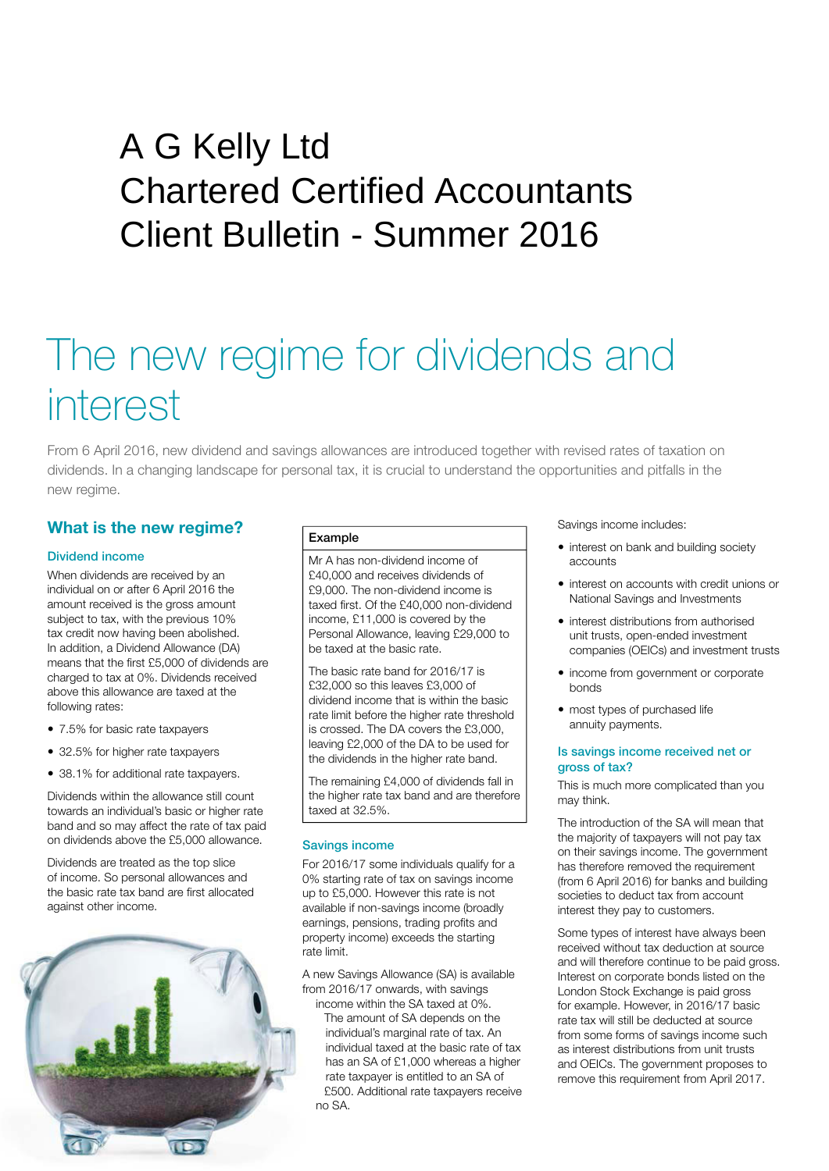## Client Bulletin - Summer 2016 A G Kelly Ltd Chartered Certified Accountants

# The new regime for dividends and interest

From 6 April 2016, new dividend and savings allowances are introduced together with revised rates of taxation on dividends. In a changing landscape for personal tax, it is crucial to understand the opportunities and pitfalls in the new regime.

### **What is the new regime?**

#### Dividend income

When dividends are received by an individual on or after 6 April 2016 the amount received is the gross amount subject to tax, with the previous 10% tax credit now having been abolished. In addition, a Dividend Allowance (DA) means that the first £5,000 of dividends are charged to tax at 0%. Dividends received above this allowance are taxed at the following rates:

- 7.5% for basic rate taxpayers
- 32.5% for higher rate taxpayers
- 38.1% for additional rate taxpayers.

Dividends within the allowance still count towards an individual's basic or higher rate band and so may affect the rate of tax paid on dividends above the £5,000 allowance.

Dividends are treated as the top slice of income. So personal allowances and the basic rate tax band are first allocated against other income.



#### Example

Mr A has non-dividend income of £40,000 and receives dividends of £9,000. The non-dividend income is taxed first. Of the £40,000 non-dividend income, £11,000 is covered by the Personal Allowance, leaving £29,000 to be taxed at the basic rate.

The basic rate band for 2016/17 is £32,000 so this leaves £3,000 of dividend income that is within the basic rate limit before the higher rate threshold is crossed. The DA covers the £3,000, leaving £2,000 of the DA to be used for the dividends in the higher rate band.

The remaining £4,000 of dividends fall in the higher rate tax band and are therefore taxed at 32.5%.

#### Savings income

For 2016/17 some individuals qualify for a 0% starting rate of tax on savings income up to £5,000. However this rate is not available if non-savings income (broadly earnings, pensions, trading profits and property income) exceeds the starting rate limit.

A new Savings Allowance (SA) is available from 2016/17 onwards, with savings income within the SA taxed at 0%.

The amount of SA depends on the individual's marginal rate of tax. An individual taxed at the basic rate of tax has an SA of £1,000 whereas a higher rate taxpayer is entitled to an SA of £500. Additional rate taxpayers receive no SA.

Savings income includes:

- interest on bank and building society accounts
- interest on accounts with credit unions or National Savings and Investments
- interest distributions from authorised unit trusts, open-ended investment companies (OEICs) and investment trusts
- income from government or corporate bonds
- most types of purchased life annuity payments.

#### Is savings income received net or gross of tax?

This is much more complicated than you may think.

The introduction of the SA will mean that the majority of taxpayers will not pay tax on their savings income. The government has therefore removed the requirement (from 6 April 2016) for banks and building societies to deduct tax from account interest they pay to customers.

Some types of interest have always been received without tax deduction at source and will therefore continue to be paid gross. Interest on corporate bonds listed on the London Stock Exchange is paid gross for example. However, in 2016/17 basic rate tax will still be deducted at source from some forms of savings income such as interest distributions from unit trusts and OEICs. The government proposes to remove this requirement from April 2017.